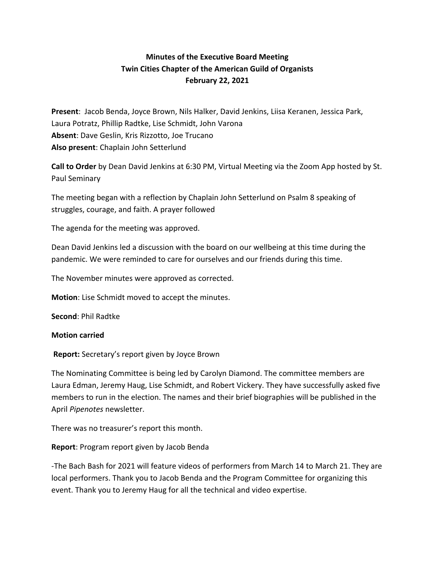## **Minutes of the Executive Board Meeting Twin Cities Chapter of the American Guild of Organists February 22, 2021**

**Present**: Jacob Benda, Joyce Brown, Nils Halker, David Jenkins, Liisa Keranen, Jessica Park, Laura Potratz, Phillip Radtke, Lise Schmidt, John Varona **Absent**: Dave Geslin, Kris Rizzotto, Joe Trucano **Also present**: Chaplain John Setterlund

**Call to Order** by Dean David Jenkins at 6:30 PM, Virtual Meeting via the Zoom App hosted by St. Paul Seminary

The meeting began with a reflection by Chaplain John Setterlund on Psalm 8 speaking of struggles, courage, and faith. A prayer followed

The agenda for the meeting was approved.

Dean David Jenkins led a discussion with the board on our wellbeing at this time during the pandemic. We were reminded to care for ourselves and our friends during this time.

The November minutes were approved as corrected.

**Motion**: Lise Schmidt moved to accept the minutes.

**Second**: Phil Radtke

## **Motion carried**

**Report:** Secretary's report given by Joyce Brown

The Nominating Committee is being led by Carolyn Diamond. The committee members are Laura Edman, Jeremy Haug, Lise Schmidt, and Robert Vickery. They have successfully asked five members to run in the election. The names and their brief biographies will be published in the April *Pipenotes* newsletter.

There was no treasurer's report this month.

## **Report**: Program report given by Jacob Benda

-The Bach Bash for 2021 will feature videos of performers from March 14 to March 21. They are local performers. Thank you to Jacob Benda and the Program Committee for organizing this event. Thank you to Jeremy Haug for all the technical and video expertise.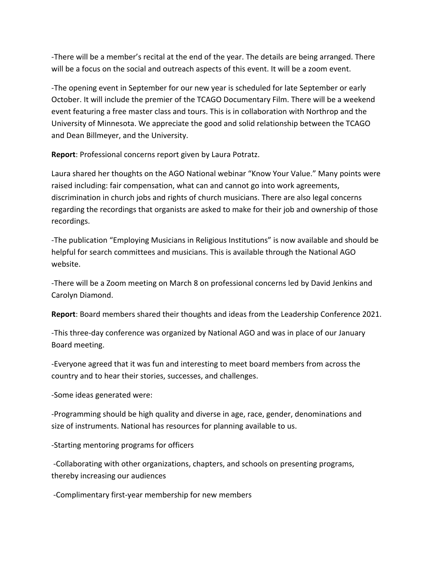-There will be a member's recital at the end of the year. The details are being arranged. There will be a focus on the social and outreach aspects of this event. It will be a zoom event.

-The opening event in September for our new year is scheduled for late September or early October. It will include the premier of the TCAGO Documentary Film. There will be a weekend event featuring a free master class and tours. This is in collaboration with Northrop and the University of Minnesota. We appreciate the good and solid relationship between the TCAGO and Dean Billmeyer, and the University.

**Report**: Professional concerns report given by Laura Potratz.

Laura shared her thoughts on the AGO National webinar "Know Your Value." Many points were raised including: fair compensation, what can and cannot go into work agreements, discrimination in church jobs and rights of church musicians. There are also legal concerns regarding the recordings that organists are asked to make for their job and ownership of those recordings.

-The publication "Employing Musicians in Religious Institutions" is now available and should be helpful for search committees and musicians. This is available through the National AGO website.

-There will be a Zoom meeting on March 8 on professional concerns led by David Jenkins and Carolyn Diamond.

**Report**: Board members shared their thoughts and ideas from the Leadership Conference 2021.

-This three-day conference was organized by National AGO and was in place of our January Board meeting.

-Everyone agreed that it was fun and interesting to meet board members from across the country and to hear their stories, successes, and challenges.

-Some ideas generated were:

-Programming should be high quality and diverse in age, race, gender, denominations and size of instruments. National has resources for planning available to us.

-Starting mentoring programs for officers

-Collaborating with other organizations, chapters, and schools on presenting programs, thereby increasing our audiences

-Complimentary first-year membership for new members